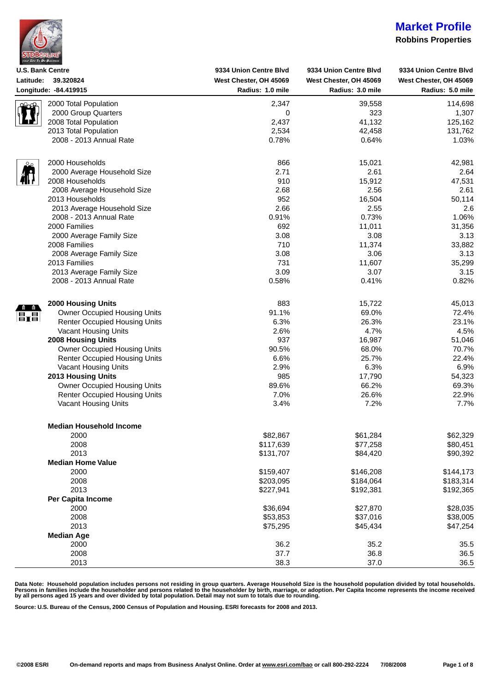| <b>STDBONLINE</b>        |  |
|--------------------------|--|
| your Site To Do Business |  |

#### **Robbins Properties**

| <b>U.S. Bank Centre</b> |                                      | 9334 Union Centre Blvd | 9334 Union Centre Blvd | 9334 Union Centre Blvd |
|-------------------------|--------------------------------------|------------------------|------------------------|------------------------|
| Latitude:               | 39.320824                            | West Chester, OH 45069 | West Chester, OH 45069 | West Chester, OH 45069 |
|                         | Longitude: - 84.419915               | Radius: 1.0 mile       | Radius: 3.0 mile       | Radius: 5.0 mile       |
|                         | 2000 Total Population                | 2,347                  | 39,558                 | 114,698                |
|                         | 2000 Group Quarters                  | 0                      | 323                    | 1,307                  |
|                         | 2008 Total Population                | 2,437                  | 41,132                 | 125,162                |
|                         | 2013 Total Population                | 2,534                  | 42,458                 | 131,762                |
|                         | 2008 - 2013 Annual Rate              | 0.78%                  | 0.64%                  | 1.03%                  |
|                         |                                      |                        |                        |                        |
|                         | 2000 Households                      | 866                    | 15,021                 | 42,981                 |
|                         | 2000 Average Household Size          | 2.71                   | 2.61                   | 2.64                   |
|                         | 2008 Households                      | 910                    | 15,912                 | 47,531                 |
|                         | 2008 Average Household Size          | 2.68                   | 2.56                   | 2.61                   |
|                         | 2013 Households                      | 952                    | 16,504                 | 50,114                 |
|                         | 2013 Average Household Size          | 2.66                   | 2.55                   | 2.6                    |
|                         | 2008 - 2013 Annual Rate              | 0.91%                  | 0.73%                  | 1.06%                  |
|                         | 2000 Families                        | 692                    | 11,011                 | 31,356                 |
|                         | 2000 Average Family Size             | 3.08                   | 3.08                   | 3.13                   |
|                         | 2008 Families                        | 710                    | 11,374                 | 33,882                 |
|                         | 2008 Average Family Size             | 3.08                   | 3.06                   | 3.13                   |
|                         | 2013 Families                        | 731                    | 11,607                 | 35,299                 |
|                         | 2013 Average Family Size             | 3.09                   | 3.07                   | 3.15                   |
|                         | 2008 - 2013 Annual Rate              | 0.58%                  | 0.41%                  | 0.82%                  |
|                         |                                      |                        |                        |                        |
|                         | <b>2000 Housing Units</b>            | 883                    | 15,722                 | 45,013                 |
| 罰圖                      | <b>Owner Occupied Housing Units</b>  | 91.1%                  | 69.0%                  | 72.4%                  |
|                         | <b>Renter Occupied Housing Units</b> | 6.3%                   | 26.3%                  | 23.1%                  |
|                         | Vacant Housing Units                 | 2.6%                   | 4.7%                   | 4.5%                   |
|                         | <b>2008 Housing Units</b>            | 937                    | 16,987                 | 51,046                 |
|                         | <b>Owner Occupied Housing Units</b>  | 90.5%                  | 68.0%                  | 70.7%                  |
|                         | <b>Renter Occupied Housing Units</b> | 6.6%                   | 25.7%                  | 22.4%                  |
|                         | Vacant Housing Units                 | 2.9%                   | 6.3%                   | 6.9%                   |
|                         | <b>2013 Housing Units</b>            | 985                    | 17,790                 | 54,323                 |
|                         | <b>Owner Occupied Housing Units</b>  | 89.6%                  | 66.2%                  | 69.3%                  |
|                         | <b>Renter Occupied Housing Units</b> | 7.0%                   | 26.6%                  | 22.9%                  |
|                         | Vacant Housing Units                 | 3.4%                   | 7.2%                   | 7.7%                   |
|                         |                                      |                        |                        |                        |
|                         | <b>Median Household Income</b>       |                        |                        |                        |
|                         | 2000                                 | \$82,867               | \$61,284               | \$62,329               |
|                         | 2008                                 | \$117,639              | \$77,258               | \$80,451               |
|                         | 2013                                 | \$131,707              | \$84,420               | \$90,392               |
|                         | <b>Median Home Value</b>             |                        |                        |                        |
|                         | 2000                                 | \$159,407              | \$146,208              | \$144,173              |
|                         | 2008                                 | \$203,095              | \$184,064              | \$183,314              |
|                         | 2013                                 | \$227,941              | \$192,381              | \$192,365              |
|                         | Per Capita Income                    |                        |                        |                        |
|                         | 2000                                 | \$36,694               | \$27,870               | \$28,035               |
|                         | 2008                                 | \$53,853               | \$37,016               | \$38,005               |
|                         | 2013                                 | \$75,295               | \$45,434               | \$47,254               |
|                         | <b>Median Age</b>                    |                        |                        |                        |
|                         | 2000                                 | 36.2                   | 35.2                   | 35.5                   |
|                         | 2008                                 | 37.7                   | 36.8                   | 36.5                   |
|                         | 2013                                 | 38.3                   | 37.0                   | 36.5                   |

Data Note: Household population includes persons not residing in group quarters. Average Household Size is the household population divided by total households.<br>Persons in families include the householder and persons rela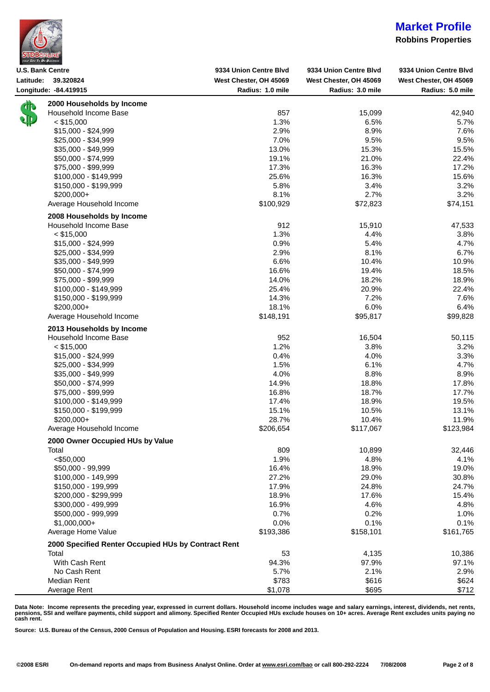| <b>STDBONLINE</b>        |  |
|--------------------------|--|
| vour Site To Do Business |  |

#### **Robbins Properties**

| Longitude: - 84.419915<br>Radius: 1.0 mile<br>Radius: 3.0 mile<br>2000 Households by Income<br>俳.<br>Household Income Base<br>857<br>15,099<br>1.3%<br>$<$ \$15,000<br>6.5%<br>\$15,000 - \$24,999<br>2.9%<br>8.9%<br>7.0%<br>9.5%<br>\$25,000 - \$34,999<br>13.0%<br>15.3%<br>\$35,000 - \$49,999<br>19.1%<br>21.0%<br>\$50,000 - \$74,999<br>17.3%<br>16.3%<br>\$75,000 - \$99,999<br>25.6%<br>16.3%<br>$$100,000 - $149,999$<br>5.8%<br>3.4%<br>\$150,000 - \$199,999<br>8.1%<br>2.7%<br>$$200,000+$<br>\$100,929<br>Average Household Income<br>\$72,823<br>2008 Households by Income<br>Household Income Base<br>912<br>15,910<br>1.3%<br>$<$ \$15,000<br>4.4%<br>0.9%<br>5.4%<br>$$15,000 - $24,999$<br>2.9%<br>8.1%<br>\$25,000 - \$34,999<br>6.6%<br>10.4%<br>\$35,000 - \$49,999<br>16.6%<br>19.4%<br>\$50,000 - \$74,999<br>18.2%<br>14.0%<br>\$75,000 - \$99,999<br>25.4%<br>20.9%<br>\$100,000 - \$149,999<br>7.2%<br>14.3%<br>\$150,000 - \$199,999<br>6.0%<br>18.1%<br>$$200,000+$<br>Average Household Income<br>\$148,191<br>\$95,817<br>2013 Households by Income<br>Household Income Base<br>952<br>16,504<br>1.2%<br>3.8%<br>$<$ \$15,000<br>0.4%<br>4.0%<br>$$15,000 - $24,999$ | Radius: 5.0 mile<br>42,940<br>5.7%<br>7.6%<br>9.5%<br>15.5%<br>22.4% |
|-----------------------------------------------------------------------------------------------------------------------------------------------------------------------------------------------------------------------------------------------------------------------------------------------------------------------------------------------------------------------------------------------------------------------------------------------------------------------------------------------------------------------------------------------------------------------------------------------------------------------------------------------------------------------------------------------------------------------------------------------------------------------------------------------------------------------------------------------------------------------------------------------------------------------------------------------------------------------------------------------------------------------------------------------------------------------------------------------------------------------------------------------------------------------------------------------------|----------------------------------------------------------------------|
|                                                                                                                                                                                                                                                                                                                                                                                                                                                                                                                                                                                                                                                                                                                                                                                                                                                                                                                                                                                                                                                                                                                                                                                                     |                                                                      |
|                                                                                                                                                                                                                                                                                                                                                                                                                                                                                                                                                                                                                                                                                                                                                                                                                                                                                                                                                                                                                                                                                                                                                                                                     |                                                                      |
|                                                                                                                                                                                                                                                                                                                                                                                                                                                                                                                                                                                                                                                                                                                                                                                                                                                                                                                                                                                                                                                                                                                                                                                                     |                                                                      |
|                                                                                                                                                                                                                                                                                                                                                                                                                                                                                                                                                                                                                                                                                                                                                                                                                                                                                                                                                                                                                                                                                                                                                                                                     |                                                                      |
|                                                                                                                                                                                                                                                                                                                                                                                                                                                                                                                                                                                                                                                                                                                                                                                                                                                                                                                                                                                                                                                                                                                                                                                                     |                                                                      |
|                                                                                                                                                                                                                                                                                                                                                                                                                                                                                                                                                                                                                                                                                                                                                                                                                                                                                                                                                                                                                                                                                                                                                                                                     |                                                                      |
|                                                                                                                                                                                                                                                                                                                                                                                                                                                                                                                                                                                                                                                                                                                                                                                                                                                                                                                                                                                                                                                                                                                                                                                                     |                                                                      |
|                                                                                                                                                                                                                                                                                                                                                                                                                                                                                                                                                                                                                                                                                                                                                                                                                                                                                                                                                                                                                                                                                                                                                                                                     |                                                                      |
|                                                                                                                                                                                                                                                                                                                                                                                                                                                                                                                                                                                                                                                                                                                                                                                                                                                                                                                                                                                                                                                                                                                                                                                                     | 17.2%                                                                |
|                                                                                                                                                                                                                                                                                                                                                                                                                                                                                                                                                                                                                                                                                                                                                                                                                                                                                                                                                                                                                                                                                                                                                                                                     | 15.6%                                                                |
|                                                                                                                                                                                                                                                                                                                                                                                                                                                                                                                                                                                                                                                                                                                                                                                                                                                                                                                                                                                                                                                                                                                                                                                                     | 3.2%                                                                 |
|                                                                                                                                                                                                                                                                                                                                                                                                                                                                                                                                                                                                                                                                                                                                                                                                                                                                                                                                                                                                                                                                                                                                                                                                     | 3.2%                                                                 |
|                                                                                                                                                                                                                                                                                                                                                                                                                                                                                                                                                                                                                                                                                                                                                                                                                                                                                                                                                                                                                                                                                                                                                                                                     | \$74,151                                                             |
|                                                                                                                                                                                                                                                                                                                                                                                                                                                                                                                                                                                                                                                                                                                                                                                                                                                                                                                                                                                                                                                                                                                                                                                                     |                                                                      |
|                                                                                                                                                                                                                                                                                                                                                                                                                                                                                                                                                                                                                                                                                                                                                                                                                                                                                                                                                                                                                                                                                                                                                                                                     | 47,533                                                               |
|                                                                                                                                                                                                                                                                                                                                                                                                                                                                                                                                                                                                                                                                                                                                                                                                                                                                                                                                                                                                                                                                                                                                                                                                     | 3.8%                                                                 |
|                                                                                                                                                                                                                                                                                                                                                                                                                                                                                                                                                                                                                                                                                                                                                                                                                                                                                                                                                                                                                                                                                                                                                                                                     | 4.7%                                                                 |
|                                                                                                                                                                                                                                                                                                                                                                                                                                                                                                                                                                                                                                                                                                                                                                                                                                                                                                                                                                                                                                                                                                                                                                                                     | 6.7%                                                                 |
|                                                                                                                                                                                                                                                                                                                                                                                                                                                                                                                                                                                                                                                                                                                                                                                                                                                                                                                                                                                                                                                                                                                                                                                                     | 10.9%                                                                |
|                                                                                                                                                                                                                                                                                                                                                                                                                                                                                                                                                                                                                                                                                                                                                                                                                                                                                                                                                                                                                                                                                                                                                                                                     | 18.5%                                                                |
|                                                                                                                                                                                                                                                                                                                                                                                                                                                                                                                                                                                                                                                                                                                                                                                                                                                                                                                                                                                                                                                                                                                                                                                                     | 18.9%                                                                |
|                                                                                                                                                                                                                                                                                                                                                                                                                                                                                                                                                                                                                                                                                                                                                                                                                                                                                                                                                                                                                                                                                                                                                                                                     | 22.4%                                                                |
|                                                                                                                                                                                                                                                                                                                                                                                                                                                                                                                                                                                                                                                                                                                                                                                                                                                                                                                                                                                                                                                                                                                                                                                                     | 7.6%                                                                 |
|                                                                                                                                                                                                                                                                                                                                                                                                                                                                                                                                                                                                                                                                                                                                                                                                                                                                                                                                                                                                                                                                                                                                                                                                     | 6.4%                                                                 |
|                                                                                                                                                                                                                                                                                                                                                                                                                                                                                                                                                                                                                                                                                                                                                                                                                                                                                                                                                                                                                                                                                                                                                                                                     | \$99,828                                                             |
|                                                                                                                                                                                                                                                                                                                                                                                                                                                                                                                                                                                                                                                                                                                                                                                                                                                                                                                                                                                                                                                                                                                                                                                                     |                                                                      |
|                                                                                                                                                                                                                                                                                                                                                                                                                                                                                                                                                                                                                                                                                                                                                                                                                                                                                                                                                                                                                                                                                                                                                                                                     |                                                                      |
|                                                                                                                                                                                                                                                                                                                                                                                                                                                                                                                                                                                                                                                                                                                                                                                                                                                                                                                                                                                                                                                                                                                                                                                                     | 50,115                                                               |
|                                                                                                                                                                                                                                                                                                                                                                                                                                                                                                                                                                                                                                                                                                                                                                                                                                                                                                                                                                                                                                                                                                                                                                                                     | 3.2%                                                                 |
|                                                                                                                                                                                                                                                                                                                                                                                                                                                                                                                                                                                                                                                                                                                                                                                                                                                                                                                                                                                                                                                                                                                                                                                                     | 3.3%                                                                 |
| 6.1%<br>1.5%<br>\$25,000 - \$34,999                                                                                                                                                                                                                                                                                                                                                                                                                                                                                                                                                                                                                                                                                                                                                                                                                                                                                                                                                                                                                                                                                                                                                                 | 4.7%                                                                 |
| 4.0%<br>8.8%<br>$$35,000 - $49,999$                                                                                                                                                                                                                                                                                                                                                                                                                                                                                                                                                                                                                                                                                                                                                                                                                                                                                                                                                                                                                                                                                                                                                                 | 8.9%                                                                 |
| \$50,000 - \$74,999<br>14.9%<br>18.8%                                                                                                                                                                                                                                                                                                                                                                                                                                                                                                                                                                                                                                                                                                                                                                                                                                                                                                                                                                                                                                                                                                                                                               | 17.8%                                                                |
| 16.8%<br>18.7%<br>\$75,000 - \$99,999                                                                                                                                                                                                                                                                                                                                                                                                                                                                                                                                                                                                                                                                                                                                                                                                                                                                                                                                                                                                                                                                                                                                                               | 17.7%                                                                |
| 17.4%<br>18.9%<br>$$100,000 - $149,999$                                                                                                                                                                                                                                                                                                                                                                                                                                                                                                                                                                                                                                                                                                                                                                                                                                                                                                                                                                                                                                                                                                                                                             | 19.5%                                                                |
| 15.1%<br>10.5%<br>\$150,000 - \$199,999                                                                                                                                                                                                                                                                                                                                                                                                                                                                                                                                                                                                                                                                                                                                                                                                                                                                                                                                                                                                                                                                                                                                                             | 13.1%                                                                |
| 28.7%<br>\$200,000+<br>10.4%                                                                                                                                                                                                                                                                                                                                                                                                                                                                                                                                                                                                                                                                                                                                                                                                                                                                                                                                                                                                                                                                                                                                                                        | 11.9%                                                                |
| \$117,067<br>Average Household Income<br>\$206,654                                                                                                                                                                                                                                                                                                                                                                                                                                                                                                                                                                                                                                                                                                                                                                                                                                                                                                                                                                                                                                                                                                                                                  | \$123,984                                                            |
| 2000 Owner Occupied HUs by Value                                                                                                                                                                                                                                                                                                                                                                                                                                                                                                                                                                                                                                                                                                                                                                                                                                                                                                                                                                                                                                                                                                                                                                    |                                                                      |
| 809<br>Total<br>10,899                                                                                                                                                                                                                                                                                                                                                                                                                                                                                                                                                                                                                                                                                                                                                                                                                                                                                                                                                                                                                                                                                                                                                                              | 32,446                                                               |
| < \$50,000<br>1.9%<br>4.8%                                                                                                                                                                                                                                                                                                                                                                                                                                                                                                                                                                                                                                                                                                                                                                                                                                                                                                                                                                                                                                                                                                                                                                          | 4.1%                                                                 |
| 16.4%<br>18.9%<br>\$50,000 - 99,999                                                                                                                                                                                                                                                                                                                                                                                                                                                                                                                                                                                                                                                                                                                                                                                                                                                                                                                                                                                                                                                                                                                                                                 | 19.0%                                                                |
| 27.2%<br>29.0%<br>\$100,000 - 149,999                                                                                                                                                                                                                                                                                                                                                                                                                                                                                                                                                                                                                                                                                                                                                                                                                                                                                                                                                                                                                                                                                                                                                               | 30.8%                                                                |
| 17.9%<br>24.8%<br>\$150,000 - 199,999                                                                                                                                                                                                                                                                                                                                                                                                                                                                                                                                                                                                                                                                                                                                                                                                                                                                                                                                                                                                                                                                                                                                                               | 24.7%                                                                |
| \$200,000 - \$299,999<br>18.9%<br>17.6%                                                                                                                                                                                                                                                                                                                                                                                                                                                                                                                                                                                                                                                                                                                                                                                                                                                                                                                                                                                                                                                                                                                                                             | 15.4%                                                                |
| 16.9%<br>4.6%<br>\$300,000 - 499,999                                                                                                                                                                                                                                                                                                                                                                                                                                                                                                                                                                                                                                                                                                                                                                                                                                                                                                                                                                                                                                                                                                                                                                | 4.8%                                                                 |
| 0.7%<br>0.2%<br>\$500,000 - 999,999                                                                                                                                                                                                                                                                                                                                                                                                                                                                                                                                                                                                                                                                                                                                                                                                                                                                                                                                                                                                                                                                                                                                                                 | 1.0%                                                                 |
| $$1,000,000+$<br>0.0%<br>0.1%                                                                                                                                                                                                                                                                                                                                                                                                                                                                                                                                                                                                                                                                                                                                                                                                                                                                                                                                                                                                                                                                                                                                                                       | 0.1%                                                                 |
| Average Home Value<br>\$193,386<br>\$158,101                                                                                                                                                                                                                                                                                                                                                                                                                                                                                                                                                                                                                                                                                                                                                                                                                                                                                                                                                                                                                                                                                                                                                        | \$161,765                                                            |
| 2000 Specified Renter Occupied HUs by Contract Rent                                                                                                                                                                                                                                                                                                                                                                                                                                                                                                                                                                                                                                                                                                                                                                                                                                                                                                                                                                                                                                                                                                                                                 |                                                                      |
| Total<br>53<br>4,135                                                                                                                                                                                                                                                                                                                                                                                                                                                                                                                                                                                                                                                                                                                                                                                                                                                                                                                                                                                                                                                                                                                                                                                | 10,386                                                               |
| With Cash Rent<br>94.3%<br>97.9%                                                                                                                                                                                                                                                                                                                                                                                                                                                                                                                                                                                                                                                                                                                                                                                                                                                                                                                                                                                                                                                                                                                                                                    | 97.1%                                                                |
| 5.7%<br>2.1%<br>No Cash Rent                                                                                                                                                                                                                                                                                                                                                                                                                                                                                                                                                                                                                                                                                                                                                                                                                                                                                                                                                                                                                                                                                                                                                                        | 2.9%                                                                 |
| \$783<br>\$616<br>Median Rent                                                                                                                                                                                                                                                                                                                                                                                                                                                                                                                                                                                                                                                                                                                                                                                                                                                                                                                                                                                                                                                                                                                                                                       |                                                                      |
| \$1,078<br>\$695<br>Average Rent                                                                                                                                                                                                                                                                                                                                                                                                                                                                                                                                                                                                                                                                                                                                                                                                                                                                                                                                                                                                                                                                                                                                                                    | \$624                                                                |

Data Note: Income represents the preceding year, expressed in current dollars. Household income includes wage and salary earnings, interest, dividends, net rents,<br>pensions, SSI and welfare payments, child support and alim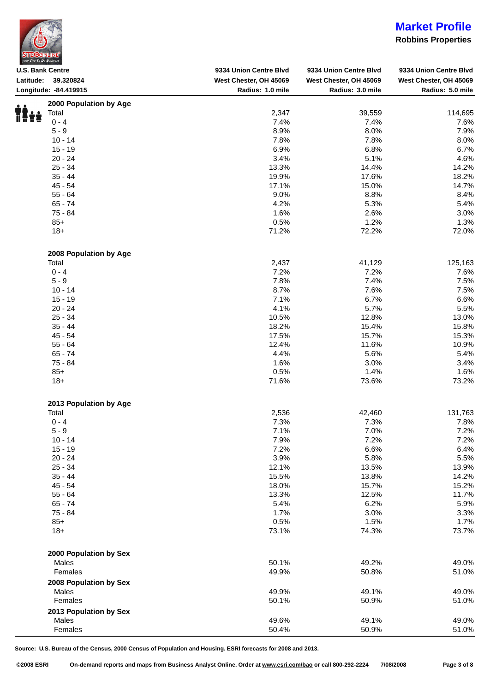| <b>STDBONLINE</b>        |  |  |
|--------------------------|--|--|
| your Site To Do Business |  |  |

### **Robbins Properties**

| <b>U.S. Bank Centre</b>           | 9334 Union Centre Blvd | 9334 Union Centre Blvd | 9334 Union Centre Blvd |
|-----------------------------------|------------------------|------------------------|------------------------|
| Latitude:<br>39.320824            | West Chester, OH 45069 | West Chester, OH 45069 | West Chester, OH 45069 |
| Longitude: - 84.419915            | Radius: 1.0 mile       | Radius: 3.0 mile       | Radius: 5.0 mile       |
| 2000 Population by Age            |                        |                        |                        |
| Total                             | 2,347                  | 39,559                 | 114,695                |
| n X<br>$0 - 4$                    | 7.4%                   | 7.4%                   | 7.6%                   |
| $5 - 9$                           | 8.9%                   | 8.0%                   | 7.9%                   |
| $10 - 14$                         | 7.8%                   | 7.8%                   | 8.0%                   |
| $15 - 19$                         | 6.9%                   | 6.8%                   | 6.7%                   |
| $20 - 24$                         | 3.4%                   | 5.1%                   | 4.6%                   |
| $25 - 34$                         | 13.3%                  | 14.4%                  | 14.2%                  |
| $35 - 44$                         | 19.9%                  | 17.6%                  | 18.2%                  |
| $45 - 54$                         | 17.1%                  | 15.0%                  |                        |
|                                   | 9.0%                   | 8.8%                   | 14.7%                  |
| $55 - 64$                         |                        |                        | 8.4%                   |
| $65 - 74$                         | 4.2%                   | 5.3%                   | 5.4%                   |
| 75 - 84                           | 1.6%                   | 2.6%                   | 3.0%                   |
| $85+$                             | 0.5%                   | 1.2%                   | 1.3%                   |
| $18+$                             | 71.2%                  | 72.2%                  | 72.0%                  |
| 2008 Population by Age            |                        |                        |                        |
| Total                             | 2,437                  | 41,129                 | 125,163                |
| $0 - 4$                           | 7.2%                   | 7.2%                   | 7.6%                   |
| $5 - 9$                           | 7.8%                   | 7.4%                   | 7.5%                   |
| $10 - 14$                         | 8.7%                   | 7.6%                   | 7.5%                   |
| $15 - 19$                         | 7.1%                   | 6.7%                   | 6.6%                   |
| $20 - 24$                         | 4.1%                   | 5.7%                   | 5.5%                   |
| $25 - 34$                         | 10.5%                  | 12.8%                  | 13.0%                  |
| $35 - 44$                         | 18.2%                  | 15.4%                  | 15.8%                  |
| $45 - 54$                         | 17.5%                  | 15.7%                  | 15.3%                  |
| $55 - 64$                         | 12.4%                  | 11.6%                  | 10.9%                  |
| $65 - 74$                         | 4.4%                   | 5.6%                   | 5.4%                   |
| 75 - 84                           | 1.6%                   | 3.0%                   | 3.4%                   |
| $85+$                             | 0.5%                   | 1.4%                   | 1.6%                   |
| $18+$                             | 71.6%                  | 73.6%                  | 73.2%                  |
|                                   |                        |                        |                        |
| 2013 Population by Age            |                        |                        |                        |
| Total                             | 2,536                  | 42,460                 | 131,763                |
| $0 - 4$                           | 7.3%                   | 7.3%                   | 7.8%                   |
| $5 - 9$                           | 7.1%                   | 7.0%                   | 7.2%                   |
| $10 - 14$                         | 7.9%                   | 7.2%                   | 7.2%                   |
| $15 - 19$                         | 7.2%                   | 6.6%                   | 6.4%                   |
| $20 - 24$                         | 3.9%                   | 5.8%                   | 5.5%                   |
| $25 - 34$                         | 12.1%                  | 13.5%                  | 13.9%                  |
| $35 - 44$                         | 15.5%                  | 13.8%                  | 14.2%                  |
| $45 - 54$                         | 18.0%                  | 15.7%                  | 15.2%                  |
| $55 - 64$                         | 13.3%                  | 12.5%                  | 11.7%                  |
| $65 - 74$                         | 5.4%                   | 6.2%                   | 5.9%                   |
| $75 - 84$                         | 1.7%                   | 3.0%                   | 3.3%                   |
| $85+$                             | 0.5%                   | 1.5%                   | 1.7%                   |
| $18 +$                            | 73.1%                  | 74.3%                  | 73.7%                  |
| 2000 Population by Sex            |                        |                        |                        |
| Males                             | 50.1%                  | 49.2%                  | 49.0%                  |
| Females                           | 49.9%                  | 50.8%                  | 51.0%                  |
|                                   |                        |                        |                        |
| 2008 Population by Sex            |                        |                        |                        |
| Males                             | 49.9%                  | 49.1%                  | 49.0%                  |
| Females<br>2013 Population by Sex | 50.1%                  | 50.9%                  | 51.0%                  |
| Males                             | 49.6%                  | 49.1%                  | 49.0%                  |
|                                   |                        |                        |                        |
| Females                           | 50.4%                  | 50.9%                  | 51.0%                  |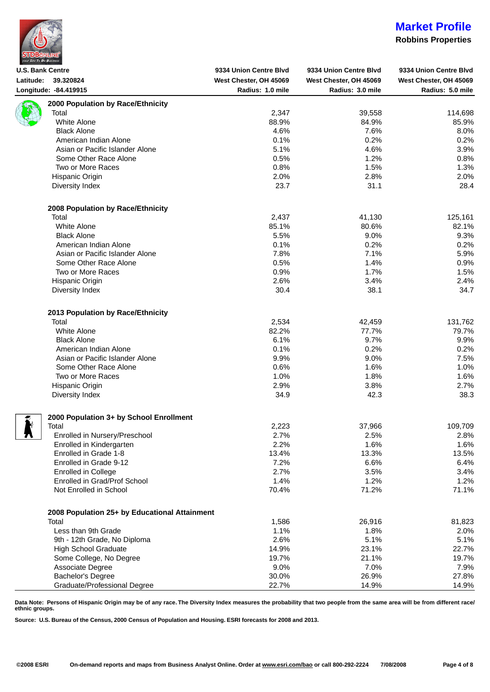|  | <b>STDBONLINE®</b>       |  |
|--|--------------------------|--|
|  | your Site To Do Business |  |

L

## **Market Profile**

#### **Robbins Properties**

| <b>U.S. Bank Centre</b> |                                               | 9334 Union Centre Blvd | 9334 Union Centre Blvd | 9334 Union Centre Blvd |
|-------------------------|-----------------------------------------------|------------------------|------------------------|------------------------|
| Latitude:               | 39.320824                                     | West Chester, OH 45069 | West Chester, OH 45069 | West Chester, OH 45069 |
|                         | Longitude: - 84.419915                        | Radius: 1.0 mile       | Radius: 3.0 mile       | Radius: 5.0 mile       |
|                         | 2000 Population by Race/Ethnicity             |                        |                        |                        |
|                         | Total                                         | 2,347                  | 39,558                 | 114,698                |
|                         | White Alone                                   | 88.9%                  | 84.9%                  | 85.9%                  |
|                         |                                               |                        |                        |                        |
|                         | <b>Black Alone</b>                            | 4.6%                   | 7.6%                   | 8.0%                   |
|                         | American Indian Alone                         | 0.1%                   | 0.2%                   | 0.2%                   |
|                         | Asian or Pacific Islander Alone               | 5.1%                   | 4.6%                   | 3.9%                   |
|                         | Some Other Race Alone                         | 0.5%                   | 1.2%                   | 0.8%                   |
|                         | Two or More Races                             | 0.8%                   | 1.5%                   | 1.3%                   |
|                         | Hispanic Origin                               | 2.0%                   | 2.8%                   | 2.0%                   |
|                         | Diversity Index                               | 23.7                   | 31.1                   | 28.4                   |
|                         | 2008 Population by Race/Ethnicity             |                        |                        |                        |
|                         | Total                                         | 2,437                  | 41,130                 | 125,161                |
|                         | White Alone                                   | 85.1%                  | 80.6%                  | 82.1%                  |
|                         |                                               |                        |                        |                        |
|                         | <b>Black Alone</b>                            | 5.5%                   | 9.0%                   | 9.3%                   |
|                         | American Indian Alone                         | 0.1%                   | 0.2%                   | 0.2%                   |
|                         | Asian or Pacific Islander Alone               | 7.8%                   | 7.1%                   | 5.9%                   |
|                         | Some Other Race Alone                         | 0.5%                   | 1.4%                   | 0.9%                   |
|                         | Two or More Races                             | 0.9%                   | 1.7%                   | 1.5%                   |
|                         | Hispanic Origin                               | 2.6%                   | 3.4%                   | 2.4%                   |
|                         | Diversity Index                               | 30.4                   | 38.1                   | 34.7                   |
|                         | 2013 Population by Race/Ethnicity             |                        |                        |                        |
|                         | Total                                         | 2,534                  | 42,459                 | 131,762                |
|                         | White Alone                                   | 82.2%                  | 77.7%                  | 79.7%                  |
|                         | <b>Black Alone</b>                            | 6.1%                   | 9.7%                   | 9.9%                   |
|                         | American Indian Alone                         | 0.1%                   | 0.2%                   | 0.2%                   |
|                         |                                               |                        |                        |                        |
|                         | Asian or Pacific Islander Alone               | 9.9%                   | 9.0%                   | 7.5%                   |
|                         | Some Other Race Alone                         | 0.6%                   | 1.6%                   | 1.0%                   |
|                         | Two or More Races                             | 1.0%                   | 1.8%                   | 1.6%                   |
|                         | Hispanic Origin                               | 2.9%                   | 3.8%                   | 2.7%                   |
|                         | Diversity Index                               | 34.9                   | 42.3                   | 38.3                   |
|                         | 2000 Population 3+ by School Enrollment       |                        |                        |                        |
|                         | Total                                         | 2,223                  | 37,966                 | 109,709                |
|                         | Enrolled in Nursery/Preschool                 | 2.7%                   | 2.5%                   | 2.8%                   |
|                         | Enrolled in Kindergarten                      | 2.2%                   | 1.6%                   | 1.6%                   |
|                         | Enrolled in Grade 1-8                         | 13.4%                  | 13.3%                  | 13.5%                  |
|                         | Enrolled in Grade 9-12                        | 7.2%                   | 6.6%                   |                        |
|                         |                                               |                        |                        | 6.4%                   |
|                         | <b>Enrolled in College</b>                    | 2.7%                   | 3.5%                   | 3.4%                   |
|                         | Enrolled in Grad/Prof School                  | 1.4%                   | 1.2%                   | 1.2%                   |
|                         | Not Enrolled in School                        | 70.4%                  | 71.2%                  | 71.1%                  |
|                         | 2008 Population 25+ by Educational Attainment |                        |                        |                        |
|                         | Total                                         | 1,586                  | 26,916                 | 81,823                 |
|                         | Less than 9th Grade                           | 1.1%                   | 1.8%                   | 2.0%                   |
|                         | 9th - 12th Grade, No Diploma                  | 2.6%                   | 5.1%                   | 5.1%                   |
|                         | <b>High School Graduate</b>                   | 14.9%                  | 23.1%                  | 22.7%                  |
|                         | Some College, No Degree                       | 19.7%                  | 21.1%                  | 19.7%                  |
|                         | Associate Degree                              | 9.0%                   | 7.0%                   | 7.9%                   |
|                         |                                               |                        |                        |                        |
|                         | Bachelor's Degree                             | 30.0%                  | 26.9%                  | 27.8%                  |
|                         | Graduate/Professional Degree                  | 22.7%                  | 14.9%                  | 14.9%                  |

**Data Note: Persons of Hispanic Origin may be of any race. The Diversity Index measures the probability that two people from the same area will be from different race/ ethnic groups.**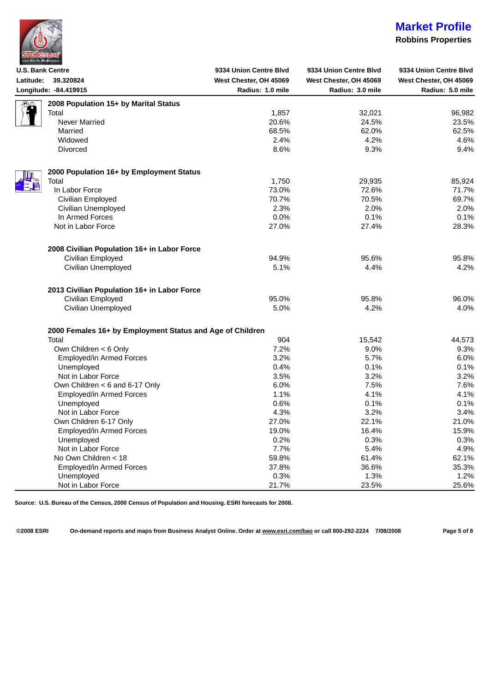

#### **Robbins Properties**

| <b>U.S. Bank Centre</b>                                   | 9334 Union Centre Blvd | 9334 Union Centre Blvd | 9334 Union Centre Blvd |
|-----------------------------------------------------------|------------------------|------------------------|------------------------|
| Latitude:<br>39.320824                                    | West Chester, OH 45069 | West Chester, OH 45069 | West Chester, OH 45069 |
| Longitude: - 84.419915                                    | Radius: 1.0 mile       | Radius: 3.0 mile       | Radius: 5.0 mile       |
| 2008 Population 15+ by Marital Status<br>නු               |                        |                        |                        |
| Total                                                     | 1,857                  | 32,021                 | 96,982                 |
| Never Married                                             | 20.6%                  | 24.5%                  | 23.5%                  |
| Married                                                   | 68.5%                  | 62.0%                  | 62.5%                  |
| Widowed                                                   | 2.4%                   | 4.2%                   | 4.6%                   |
| <b>Divorced</b>                                           | 8.6%                   | 9.3%                   | 9.4%                   |
| 2000 Population 16+ by Employment Status                  |                        |                        |                        |
| Total                                                     | 1,750                  | 29,935                 | 85,924                 |
| In Labor Force                                            | 73.0%                  | 72.6%                  | 71.7%                  |
| Civilian Employed                                         | 70.7%                  | 70.5%                  | 69.7%                  |
| Civilian Unemployed                                       | 2.3%                   | 2.0%                   | 2.0%                   |
| In Armed Forces                                           | 0.0%                   | 0.1%                   | 0.1%                   |
| Not in Labor Force                                        | 27.0%                  | 27.4%                  | 28.3%                  |
| 2008 Civilian Population 16+ in Labor Force               |                        |                        |                        |
| Civilian Employed                                         | 94.9%                  | 95.6%                  | 95.8%                  |
| Civilian Unemployed                                       | 5.1%                   | 4.4%                   | 4.2%                   |
| 2013 Civilian Population 16+ in Labor Force               |                        |                        |                        |
| Civilian Employed                                         | 95.0%                  | 95.8%                  | 96.0%                  |
| Civilian Unemployed                                       | 5.0%                   | 4.2%                   | 4.0%                   |
| 2000 Females 16+ by Employment Status and Age of Children |                        |                        |                        |
| Total                                                     | 904                    | 15,542                 | 44,573                 |
| Own Children < 6 Only                                     | 7.2%                   | 9.0%                   | 9.3%                   |
| Employed/in Armed Forces                                  | 3.2%                   | 5.7%                   | 6.0%                   |
| Unemployed                                                | 0.4%                   | 0.1%                   | 0.1%                   |
| Not in Labor Force                                        | 3.5%                   | 3.2%                   | 3.2%                   |
| Own Children < 6 and 6-17 Only                            | 6.0%                   | 7.5%                   | 7.6%                   |
| Employed/in Armed Forces                                  | 1.1%                   | 4.1%                   | 4.1%                   |
| Unemployed                                                | 0.6%                   | 0.1%                   | 0.1%                   |
| Not in Labor Force                                        | 4.3%                   | 3.2%                   | 3.4%                   |
| Own Children 6-17 Only                                    | 27.0%                  | 22.1%                  | 21.0%                  |
| <b>Employed/in Armed Forces</b>                           | 19.0%                  | 16.4%                  | 15.9%                  |
| Unemployed                                                | 0.2%                   | 0.3%                   | 0.3%                   |
| Not in Labor Force                                        | 7.7%                   | 5.4%                   | 4.9%                   |
| No Own Children < 18                                      | 59.8%                  | 61.4%                  | 62.1%                  |
| Employed/in Armed Forces                                  | 37.8%                  | 36.6%                  | 35.3%                  |
| Unemployed                                                | 0.3%                   | 1.3%                   | 1.2%                   |
|                                                           |                        |                        |                        |

**Source: U.S. Bureau of the Census, 2000 Census of Population and Housing. ESRI forecasts for 2008.**

**©2008 ESRI On-demand reports and maps from Business Analyst Online. Order at [www.esri.com/bao](http://www.esri.com/bao) or call 800-292-2224 7/08/2008 Page 5 of 8**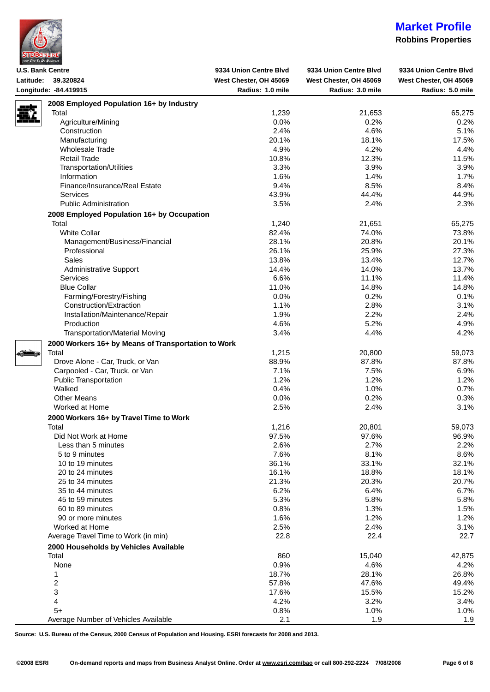|  |  | <b>STDBONLINE</b>        |  |
|--|--|--------------------------|--|
|  |  | your Site To Do Business |  |

### **Robbins Properties**

| <b>U.S. Bank Centre</b> |                                                     | 9334 Union Centre Blvd | 9334 Union Centre Blvd | 9334 Union Centre Blvd |
|-------------------------|-----------------------------------------------------|------------------------|------------------------|------------------------|
| Latitude:               | 39.320824                                           | West Chester, OH 45069 | West Chester, OH 45069 | West Chester, OH 45069 |
|                         | Longitude: - 84.419915                              | Radius: 1.0 mile       | Radius: 3.0 mile       | Radius: 5.0 mile       |
|                         | 2008 Employed Population 16+ by Industry            |                        |                        |                        |
|                         | Total                                               | 1,239                  | 21,653                 | 65,275                 |
|                         | Agriculture/Mining                                  | 0.0%                   | 0.2%                   | 0.2%                   |
|                         | Construction                                        | 2.4%                   | 4.6%                   | 5.1%                   |
|                         | Manufacturing                                       | 20.1%                  | 18.1%                  | 17.5%                  |
|                         | <b>Wholesale Trade</b>                              | 4.9%                   | 4.2%                   | 4.4%                   |
|                         | <b>Retail Trade</b>                                 | 10.8%                  | 12.3%                  | 11.5%                  |
|                         | <b>Transportation/Utilities</b>                     | 3.3%                   | 3.9%                   | 3.9%                   |
|                         | Information                                         | 1.6%                   | 1.4%                   | 1.7%                   |
|                         | Finance/Insurance/Real Estate                       | 9.4%                   | 8.5%                   | 8.4%                   |
|                         | <b>Services</b>                                     | 43.9%                  | 44.4%                  | 44.9%                  |
|                         | <b>Public Administration</b>                        | 3.5%                   | 2.4%                   | 2.3%                   |
|                         | 2008 Employed Population 16+ by Occupation          |                        |                        |                        |
|                         | Total                                               | 1,240                  | 21,651                 | 65,275                 |
|                         | <b>White Collar</b>                                 | 82.4%                  | 74.0%                  | 73.8%                  |
|                         |                                                     | 28.1%                  | 20.8%                  |                        |
|                         | Management/Business/Financial<br>Professional       | 26.1%                  | 25.9%                  | 20.1%                  |
|                         | Sales                                               | 13.8%                  | 13.4%                  | 27.3%                  |
|                         |                                                     |                        |                        | 12.7%                  |
|                         | Administrative Support                              | 14.4%                  | 14.0%                  | 13.7%                  |
|                         | Services                                            | 6.6%                   | 11.1%                  | 11.4%                  |
|                         | <b>Blue Collar</b>                                  | 11.0%                  | 14.8%                  | 14.8%                  |
|                         | Farming/Forestry/Fishing                            | 0.0%                   | 0.2%                   | 0.1%                   |
|                         | Construction/Extraction                             | 1.1%                   | 2.8%                   | 3.1%                   |
|                         | Installation/Maintenance/Repair                     | 1.9%                   | 2.2%                   | 2.4%                   |
|                         | Production                                          | 4.6%                   | 5.2%                   | 4.9%                   |
|                         | <b>Transportation/Material Moving</b>               | 3.4%                   | 4.4%                   | 4.2%                   |
|                         | 2000 Workers 16+ by Means of Transportation to Work |                        |                        |                        |
|                         | Total                                               | 1,215                  | 20,800                 | 59,073                 |
|                         | Drove Alone - Car, Truck, or Van                    | 88.9%                  | 87.8%                  | 87.8%                  |
|                         | Carpooled - Car, Truck, or Van                      | 7.1%                   | 7.5%                   | 6.9%                   |
|                         | <b>Public Transportation</b>                        | 1.2%                   | 1.2%                   | 1.2%                   |
|                         | Walked                                              | 0.4%                   | 1.0%                   | 0.7%                   |
|                         | <b>Other Means</b>                                  | 0.0%                   | 0.2%                   | 0.3%                   |
|                         | Worked at Home                                      | 2.5%                   | 2.4%                   | 3.1%                   |
|                         | 2000 Workers 16+ by Travel Time to Work             |                        |                        |                        |
|                         | Total                                               | 1,216                  | 20,801                 | 59,073                 |
|                         | Did Not Work at Home                                | 97.5%                  | 97.6%                  | 96.9%                  |
|                         | Less than 5 minutes                                 | 2.6%                   | 2.7%                   | 2.2%                   |
|                         | 5 to 9 minutes                                      | 7.6%                   | 8.1%                   | 8.6%                   |
|                         | 10 to 19 minutes                                    | 36.1%                  | 33.1%                  | 32.1%                  |
|                         | 20 to 24 minutes                                    | 16.1%                  | 18.8%                  | 18.1%                  |
|                         | 25 to 34 minutes                                    | 21.3%                  | 20.3%                  | 20.7%                  |
|                         | 35 to 44 minutes                                    | 6.2%                   | 6.4%                   | 6.7%                   |
|                         | 45 to 59 minutes                                    | 5.3%                   | 5.8%                   | 5.8%                   |
|                         | 60 to 89 minutes                                    | 0.8%                   | 1.3%                   | 1.5%                   |
|                         | 90 or more minutes                                  | 1.6%                   | 1.2%                   | 1.2%                   |
|                         | Worked at Home                                      | 2.5%                   | 2.4%                   | 3.1%                   |
|                         | Average Travel Time to Work (in min)                | 22.8                   | 22.4                   | 22.7                   |
|                         | 2000 Households by Vehicles Available               |                        |                        |                        |
|                         | Total                                               | 860                    | 15,040                 |                        |
|                         | None                                                | 0.9%                   | 4.6%                   | 42,875                 |
|                         |                                                     | 18.7%                  | 28.1%                  | 4.2%                   |
|                         | 1                                                   |                        |                        | 26.8%                  |
|                         | 2                                                   | 57.8%                  | 47.6%                  | 49.4%                  |
|                         | 3                                                   | 17.6%                  | 15.5%                  | 15.2%                  |
|                         | 4<br>$5+$                                           | 4.2%                   | 3.2%                   | 3.4%                   |
|                         |                                                     | 0.8%                   | 1.0%                   | 1.0%                   |
|                         | Average Number of Vehicles Available                | 2.1                    | 1.9                    | 1.9                    |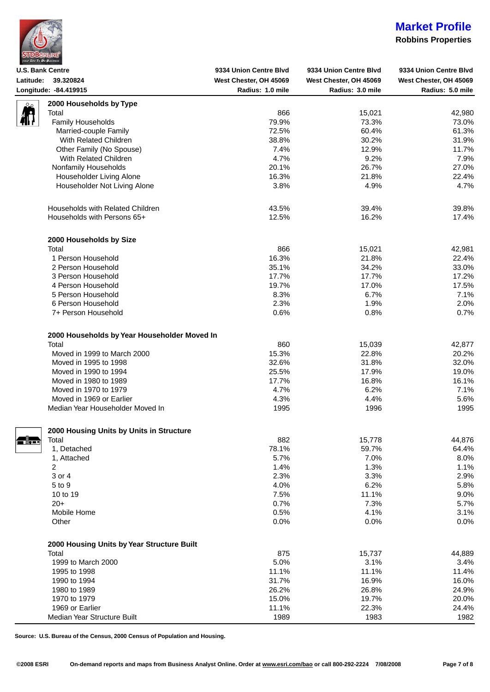|  |  | <b>STDBONLINE</b>        |  |
|--|--|--------------------------|--|
|  |  | your Site To Do Business |  |

### **Robbins Properties**

| <b>U.S. Bank Centre</b>                         |                                                   | 9334 Union Centre Blvd                     | 9334 Union Centre Blvd                     | 9334 Union Centre Blvd                     |
|-------------------------------------------------|---------------------------------------------------|--------------------------------------------|--------------------------------------------|--------------------------------------------|
| 39.320824<br>Latitude:<br>Longitude: -84.419915 |                                                   | West Chester, OH 45069<br>Radius: 1.0 mile | West Chester, OH 45069<br>Radius: 3.0 mile | West Chester, OH 45069<br>Radius: 5.0 mile |
|                                                 |                                                   |                                            |                                            |                                            |
|                                                 | Total                                             | 866                                        | 15,021                                     | 42,980                                     |
|                                                 | Family Households                                 | 79.9%                                      | 73.3%                                      | 73.0%                                      |
|                                                 |                                                   | 72.5%                                      | 60.4%                                      |                                            |
|                                                 | Married-couple Family<br>With Related Children    | 38.8%                                      | 30.2%                                      | 61.3%                                      |
|                                                 |                                                   | 7.4%                                       | 12.9%                                      | 31.9%                                      |
|                                                 | Other Family (No Spouse)<br>With Related Children |                                            |                                            | 11.7%                                      |
|                                                 |                                                   | 4.7%                                       | 9.2%                                       | 7.9%                                       |
|                                                 | Nonfamily Households                              | 20.1%                                      | 26.7%                                      | 27.0%                                      |
|                                                 | Householder Living Alone                          | 16.3%                                      | 21.8%                                      | 22.4%                                      |
|                                                 | Householder Not Living Alone                      | 3.8%                                       | 4.9%                                       | 4.7%                                       |
|                                                 | Households with Related Children                  | 43.5%                                      | 39.4%                                      | 39.8%                                      |
|                                                 | Households with Persons 65+                       | 12.5%                                      | 16.2%                                      | 17.4%                                      |
|                                                 | 2000 Households by Size                           |                                            |                                            |                                            |
|                                                 | Total                                             | 866                                        | 15,021                                     | 42,981                                     |
|                                                 | 1 Person Household                                | 16.3%                                      | 21.8%                                      | 22.4%                                      |
|                                                 | 2 Person Household                                | 35.1%                                      | 34.2%                                      | 33.0%                                      |
|                                                 | 3 Person Household                                | 17.7%                                      | 17.7%                                      | 17.2%                                      |
|                                                 | 4 Person Household                                | 19.7%                                      | 17.0%                                      | 17.5%                                      |
|                                                 | 5 Person Household                                | 8.3%                                       | 6.7%                                       | 7.1%                                       |
|                                                 | 6 Person Household                                | 2.3%                                       | 1.9%                                       | 2.0%                                       |
|                                                 | 7+ Person Household                               | 0.6%                                       | 0.8%                                       | 0.7%                                       |
|                                                 | 2000 Households by Year Householder Moved In      |                                            |                                            |                                            |
|                                                 | Total                                             | 860                                        | 15,039                                     | 42,877                                     |
|                                                 | Moved in 1999 to March 2000                       | 15.3%                                      | 22.8%                                      | 20.2%                                      |
|                                                 | Moved in 1995 to 1998                             | 32.6%                                      | 31.8%                                      | 32.0%                                      |
|                                                 | Moved in 1990 to 1994                             | 25.5%                                      | 17.9%                                      | 19.0%                                      |
|                                                 | Moved in 1980 to 1989                             | 17.7%                                      | 16.8%                                      | 16.1%                                      |
|                                                 | Moved in 1970 to 1979                             | 4.7%                                       | 6.2%                                       | 7.1%                                       |
|                                                 | Moved in 1969 or Earlier                          | 4.3%                                       | 4.4%                                       | 5.6%                                       |
|                                                 | Median Year Householder Moved In                  | 1995                                       | 1996                                       | 1995                                       |
|                                                 | 2000 Housing Units by Units in Structure          |                                            |                                            |                                            |
|                                                 | Total                                             | 882                                        | 15,778                                     | 44,876                                     |
| n il 1                                          | 1, Detached                                       | 78.1%                                      | 59.7%                                      | 64.4%                                      |
|                                                 | 1, Attached                                       | 5.7%                                       | 7.0%                                       | 8.0%                                       |
|                                                 | 2                                                 | 1.4%                                       | 1.3%                                       | 1.1%                                       |
|                                                 | 3 or 4                                            | 2.3%                                       | 3.3%                                       | 2.9%                                       |
|                                                 | 5 to 9                                            | 4.0%                                       | 6.2%                                       | 5.8%                                       |
|                                                 | 10 to 19                                          | 7.5%                                       | 11.1%                                      | 9.0%                                       |
|                                                 | $20+$                                             | 0.7%                                       | 7.3%                                       |                                            |
|                                                 | Mobile Home                                       | 0.5%                                       | 4.1%                                       | 5.7%                                       |
|                                                 | Other                                             | 0.0%                                       | 0.0%                                       | 3.1%<br>0.0%                               |
|                                                 |                                                   |                                            |                                            |                                            |
|                                                 | 2000 Housing Units by Year Structure Built        |                                            |                                            |                                            |
|                                                 | Total                                             | 875                                        | 15,737                                     | 44,889                                     |
|                                                 | 1999 to March 2000                                | 5.0%                                       | 3.1%                                       | 3.4%                                       |
|                                                 | 1995 to 1998                                      | 11.1%                                      | 11.1%                                      | 11.4%                                      |
|                                                 | 1990 to 1994                                      | 31.7%                                      | 16.9%                                      | 16.0%                                      |
|                                                 | 1980 to 1989                                      | 26.2%                                      | 26.8%                                      | 24.9%                                      |
|                                                 | 1970 to 1979                                      | 15.0%                                      | 19.7%                                      | 20.0%                                      |
|                                                 | 1969 or Earlier                                   | 11.1%                                      | 22.3%                                      | 24.4%                                      |
|                                                 | Median Year Structure Built                       | 1989                                       | 1983                                       | 1982                                       |

**Source: U.S. Bureau of the Census, 2000 Census of Population and Housing.**